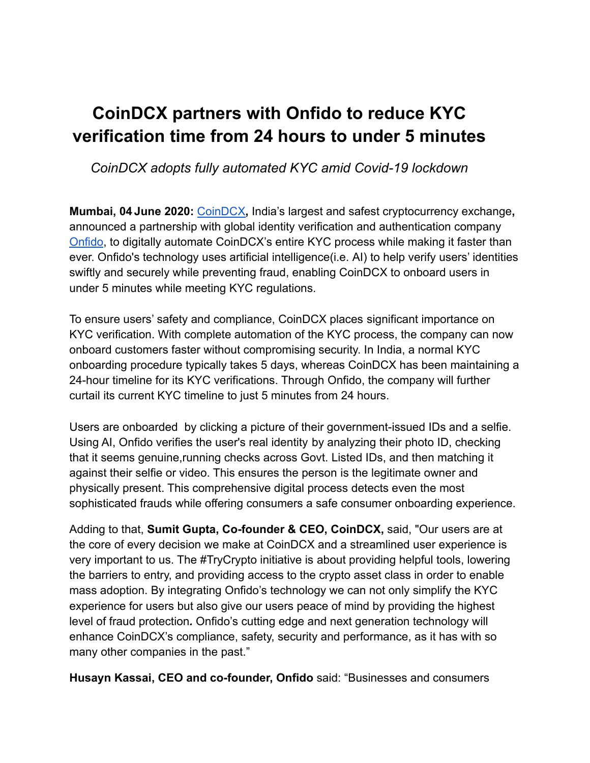## **CoinDCX partners with Onfido to reduce KYC verification time from 24 hours to under 5 minutes**

## *CoinDCX adopts fully automated KYC amid Covid-19 lockdown*

**Mumbai, 04 June 2020:** [CoinDCX](https://coindcx.com/)**,** India's largest and safest cryptocurrency exchange**,** announced a partnership with global identity verification and authentication company [Onfido](https://onfido.com/), to digitally automate CoinDCX's entire KYC process while making it faster than ever. Onfido's technology uses artificial intelligence(i.e. AI) to help verify users' identities swiftly and securely while preventing fraud, enabling CoinDCX to onboard users in under 5 minutes while meeting KYC regulations.

To ensure users' safety and compliance, CoinDCX places significant importance on KYC verification. With complete automation of the KYC process, the company can now onboard customers faster without compromising security. In India, a normal KYC onboarding procedure typically takes 5 days, whereas CoinDCX has been maintaining a 24-hour timeline for its KYC verifications. Through Onfido, the company will further curtail its current KYC timeline to just 5 minutes from 24 hours.

Users are onboarded by clicking a picture of their government-issued IDs and a selfie. Using AI, Onfido verifies the user's real identity by analyzing their photo ID, checking that it seems genuine,running checks across Govt. Listed IDs, and then matching it against their selfie or video. This ensures the person is the legitimate owner and physically present. This comprehensive digital process detects even the most sophisticated frauds while offering consumers a safe consumer onboarding experience.

Adding to that, **Sumit Gupta, Co-founder & CEO, CoinDCX,** said, "Our users are at the core of every decision we make at CoinDCX and a streamlined user experience is very important to us. The #TryCrypto initiative is about providing helpful tools, lowering the barriers to entry, and providing access to the crypto asset class in order to enable mass adoption. By integrating Onfido's technology we can not only simplify the KYC experience for users but also give our users peace of mind by providing the highest level of fraud protection*.* Onfido's cutting edge and next generation technology will enhance CoinDCX's compliance, safety, security and performance, as it has with so many other companies in the past."

**Husayn Kassai, CEO and co-founder, Onfido** said: "Businesses and consumers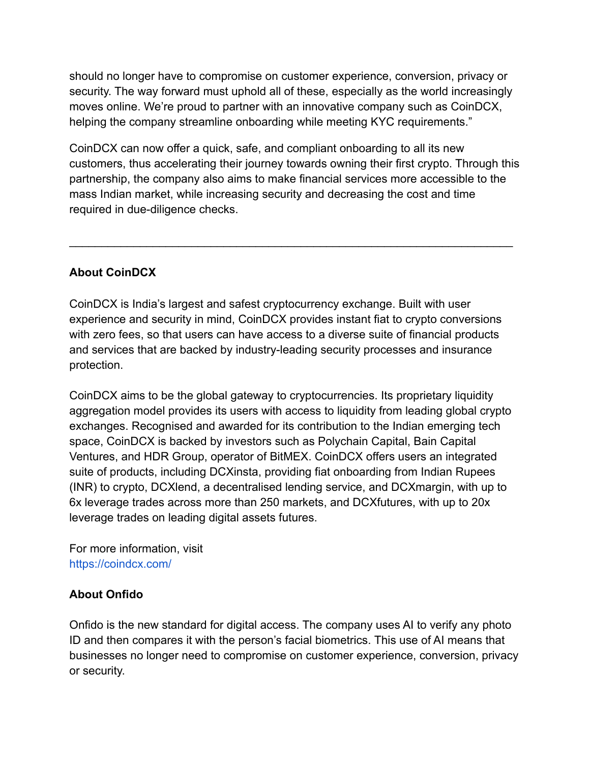should no longer have to compromise on customer experience, conversion, privacy or security. The way forward must uphold all of these, especially as the world increasingly moves online. We're proud to partner with an innovative company such as CoinDCX, helping the company streamline onboarding while meeting KYC requirements."

CoinDCX can now offer a quick, safe, and compliant onboarding to all its new customers, thus accelerating their journey towards owning their first crypto. Through this partnership, the company also aims to make financial services more accessible to the mass Indian market, while increasing security and decreasing the cost and time required in due-diligence checks.

 $\mathcal{L}_\text{max} = \mathcal{L}_\text{max} = \mathcal{L}_\text{max} = \mathcal{L}_\text{max} = \mathcal{L}_\text{max} = \mathcal{L}_\text{max} = \mathcal{L}_\text{max} = \mathcal{L}_\text{max} = \mathcal{L}_\text{max} = \mathcal{L}_\text{max} = \mathcal{L}_\text{max} = \mathcal{L}_\text{max} = \mathcal{L}_\text{max} = \mathcal{L}_\text{max} = \mathcal{L}_\text{max} = \mathcal{L}_\text{max} = \mathcal{L}_\text{max} = \mathcal{L}_\text{max} = \mathcal{$ 

## **About CoinDCX**

CoinDCX is India's largest and safest cryptocurrency exchange. Built with user experience and security in mind, CoinDCX provides instant fiat to crypto conversions with zero fees, so that users can have access to a diverse suite of financial products and services that are backed by industry-leading security processes and insurance protection.

CoinDCX aims to be the global gateway to cryptocurrencies. Its proprietary liquidity aggregation model provides its users with access to liquidity from leading global crypto exchanges. Recognised and awarded for its contribution to the Indian emerging tech space, CoinDCX is backed by investors such as Polychain Capital, Bain Capital Ventures, and HDR Group, operator of BitMEX. CoinDCX offers users an integrated suite of products, including DCXinsta, providing fiat onboarding from Indian Rupees (INR) to crypto, DCXlend, a decentralised lending service, and DCXmargin, with up to 6x leverage trades across more than 250 markets, and DCXfutures, with up to 20x leverage trades on leading digital assets futures.

For more information, visit https://coindcx.com/

## **About Onfido**

Onfido is the new standard for digital access. The company uses AI to verify any photo ID and then compares it with the person's facial biometrics. This use of AI means that businesses no longer need to compromise on customer experience, conversion, privacy or security.